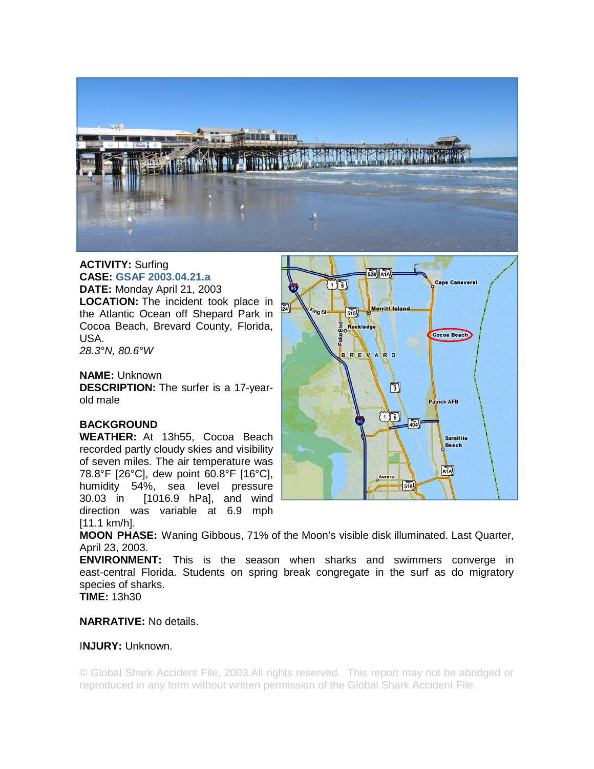

# **ACTIVITY:** Surfing **CASE: GSAF 2003.04.21.a**

**DATE:** Monday April 21, 2003 **LOCATION:** The incident took place in the Atlantic Ocean off Shepard Park in Cocoa Beach, Brevard County, Florida, USA.

*28.3°N, 80.6°W* 

#### **NAME:** Unknown

**DESCRIPTION:** The surfer is a 17-yearold male

# **BACKGROUND**

**WEATHER:** At 13h55, Cocoa Beach recorded partly cloudy skies and visibility of seven miles. The air temperature was 78.8°F [26°C], dew point 60.8°F [16°C], humidity 54%, sea level pressure 30.03 in [1016.9 hPa], and wind direction was variable at 6.9 mph [11.1 km/h].



**MOON PHASE:** Waning Gibbous, 71% of the Moon's visible disk illuminated. Last Quarter, April 23, 2003.

**ENVIRONMENT:** This is the season when sharks and swimmers converge in east-central Florida. Students on spring break congregate in the surf as do migratory species of sharks.

**TIME:** 13h30

# **NARRATIVE:** No details.

# I**NJURY:** Unknown.

© Global Shark Accident File, 2003.All rights reserved. This report may not be abridged or reproduced in any form without written permission of the Global Shark Accident File.